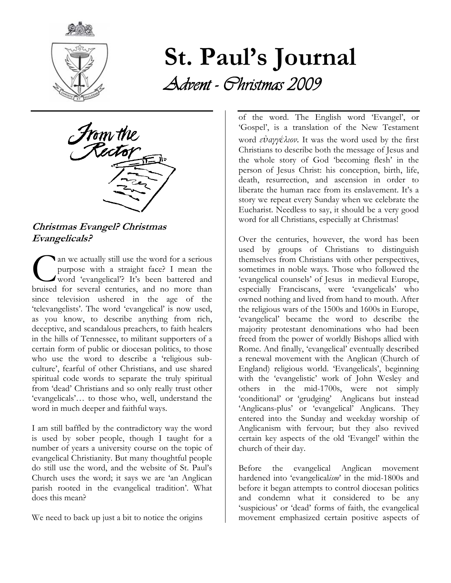

# St. Paul's Journal Advent - Christmas 2009

From the<br>*Rector* 

Christmas Evangel? Christmas Evangelicals?

an we actually still use the word for a serious purpose with a straight face? I mean the word 'evangelical'? It's been battered and an we actually still use the word for a serious<br>purpose with a straight face? I mean the<br>word 'evangelical'? It's been battered and<br>bruised for several centuries, and no more than since television ushered in the age of the 'televangelists'. The word 'evangelical' is now used, as you know, to describe anything from rich, deceptive, and scandalous preachers, to faith healers in the hills of Tennessee, to militant supporters of a certain form of public or diocesan politics, to those who use the word to describe a 'religious subculture', fearful of other Christians, and use shared spiritual code words to separate the truly spiritual from 'dead' Christians and so only really trust other 'evangelicals'… to those who, well, understand the word in much deeper and faithful ways.

I am still baffled by the contradictory way the word is used by sober people, though I taught for a number of years a university course on the topic of evangelical Christianity. But many thoughtful people do still use the word, and the website of St. Paul's Church uses the word; it says we are 'an Anglican parish rooted in the evangelical tradition'. What does this mean?

We need to back up just a bit to notice the origins

of the word. The English word 'Evangel', or 'Gospel', is a translation of the New Testament word εὐαγγέλιον. It was the word used by the first Christians to describe both the message of Jesus and the whole story of God 'becoming flesh' in the person of Jesus Christ: his conception, birth, life, death, resurrection, and ascension in order to liberate the human race from its enslavement. It's a story we repeat every Sunday when we celebrate the Eucharist. Needless to say, it should be a very good word for all Christians, especially at Christmas!

Over the centuries, however, the word has been used by groups of Christians to distinguish themselves from Christians with other perspectives, sometimes in noble ways. Those who followed the 'evangelical counsels' of Jesus in medieval Europe, especially Franciscans, were 'evangelicals' who owned nothing and lived from hand to mouth. After the religious wars of the 1500s and 1600s in Europe, 'evangelical' became the word to describe the majority protestant denominations who had been freed from the power of worldly Bishops allied with Rome. And finally, 'evangelical' eventually described a renewal movement with the Anglican (Church of England) religious world. 'Evangelicals', beginning with the 'evangelistic' work of John Wesley and others in the mid-1700s, were not simply 'conditional' or 'grudging' Anglicans but instead 'Anglicans-plus' or 'evangelical' Anglicans. They entered into the Sunday and weekday worship of Anglicanism with fervour; but they also revived certain key aspects of the old 'Evangel' within the church of their day.

Before the evangelical Anglican movement hardened into 'evangelicalism' in the mid-1800s and before it began attempts to control diocesan politics and condemn what it considered to be any 'suspicious' or 'dead' forms of faith, the evangelical movement emphasized certain positive aspects of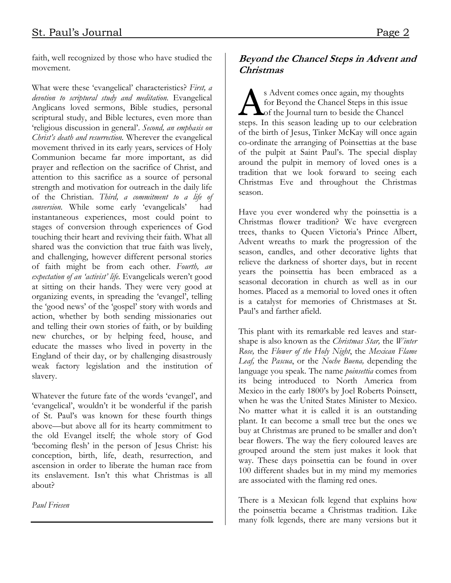faith, well recognized by those who have studied the movement.

What were these 'evangelical' characteristics? First, a devotion to scriptural study and meditation. Evangelical Anglicans loved sermons, Bible studies, personal scriptural study, and Bible lectures, even more than 'religious discussion in general'. Second, an emphasis on Christ's death and resurrection. Wherever the evangelical movement thrived in its early years, services of Holy Communion became far more important, as did prayer and reflection on the sacrifice of Christ, and attention to this sacrifice as a source of personal strength and motivation for outreach in the daily life of the Christian. Third, a commitment to a life of conversion. While some early 'evangelicals' had instantaneous experiences, most could point to stages of conversion through experiences of God touching their heart and reviving their faith. What all shared was the conviction that true faith was lively, and challenging, however different personal stories of faith might be from each other. Fourth, an expectation of an 'activist' life. Evangelicals weren't good at sitting on their hands. They were very good at organizing events, in spreading the 'evangel', telling the 'good news' of the 'gospel' story with words and action, whether by both sending missionaries out and telling their own stories of faith, or by building new churches, or by helping feed, house, and educate the masses who lived in poverty in the England of their day, or by challenging disastrously weak factory legislation and the institution of slavery.

Whatever the future fate of the words 'evangel', and 'evangelical', wouldn't it be wonderful if the parish of St. Paul's was known for these fourth things above—but above all for its hearty commitment to the old Evangel itself; the whole story of God 'becoming flesh' in the person of Jesus Christ: his conception, birth, life, death, resurrection, and ascension in order to liberate the human race from its enslavement. Isn't this what Christmas is all about?

Paul Friesen

#### Beyond the Chancel Steps in Advent and Christmas

s Advent comes once again, my thoughts for Beyond the Chancel Steps in this issue S Advent comes once again, my thoughts<br>for Beyond the Chancel Steps in this issue<br>of the Journal turn to beside the Chancel steps. In this season leading up to our celebration of the birth of Jesus, Tinker McKay will once again co-ordinate the arranging of Poinsettias at the base of the pulpit at Saint Paul's. The special display around the pulpit in memory of loved ones is a tradition that we look forward to seeing each Christmas Eve and throughout the Christmas season.

Have you ever wondered why the poinsettia is a Christmas flower tradition? We have evergreen trees, thanks to Queen Victoria's Prince Albert, Advent wreaths to mark the progression of the season, candles, and other decorative lights that relieve the darkness of shorter days, but in recent years the poinsettia has been embraced as a seasonal decoration in church as well as in our homes. Placed as a memorial to loved ones it often is a catalyst for memories of Christmases at St. Paul's and farther afield.

This plant with its remarkable red leaves and starshape is also known as the *Christmas Star*, the *Winter* Rose, the Flower of the Holy Night, the Mexican Flame Leaf, the Pascua, or the Noche Buena, depending the language you speak. The name *poinsettia* comes from its being introduced to North America from Mexico in the early 1800's by Joel Roberts Poinsett, when he was the United States Minister to Mexico. No matter what it is called it is an outstanding plant. It can become a small tree but the ones we buy at Christmas are pruned to be smaller and don't bear flowers. The way the fiery coloured leaves are grouped around the stem just makes it look that way. These days poinsettia can be found in over 100 different shades but in my mind my memories are associated with the flaming red ones.

There is a Mexican folk legend that explains how the poinsettia became a Christmas tradition. Like many folk legends, there are many versions but it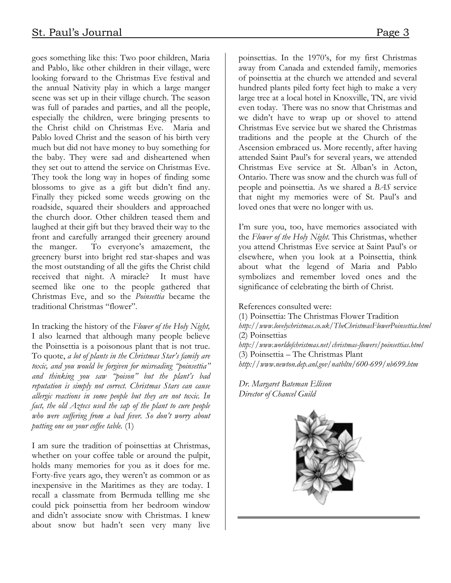goes something like this: Two poor children, Maria and Pablo, like other children in their village, were looking forward to the Christmas Eve festival and the annual Nativity play in which a large manger scene was set up in their village church. The season was full of parades and parties, and all the people, especially the children, were bringing presents to the Christ child on Christmas Eve. Maria and Pablo loved Christ and the season of his birth very much but did not have money to buy something for the baby. They were sad and disheartened when they set out to attend the service on Christmas Eve. They took the long way in hopes of finding some blossoms to give as a gift but didn't find any. Finally they picked some weeds growing on the roadside, squared their shoulders and approached the church door. Other children teased them and laughed at their gift but they braved their way to the front and carefully arranged their greenery around the manger. To everyone's amazement, the greenery burst into bright red star-shapes and was the most outstanding of all the gifts the Christ child received that night. A miracle? It must have seemed like one to the people gathered that Christmas Eve, and so the Poinsettia became the traditional Christmas "flower".

In tracking the history of the Flower of the Holy Night, I also learned that although many people believe the Poinsettia is a poisonous plant that is not true. To quote, a lot of plants in the Christmas Star's family are toxic, and you would be forgiven for misreading "poinsettia" and thinking you saw "poison" but the plant's bad reputation is simply not correct. Christmas Stars can cause allergic reactions in some people but they are not toxic. In fact, the old Aztecs used the sap of the plant to cure people who were suffering from a bad fever. So don't worry about putting one on your coffee table. (1)

I am sure the tradition of poinsettias at Christmas, whether on your coffee table or around the pulpit, holds many memories for you as it does for me. Forty-five years ago, they weren't as common or as inexpensive in the Maritimes as they are today. I recall a classmate from Bermuda tellling me she could pick poinsettia from her bedroom window and didn't associate snow with Christmas. I knew about snow but hadn't seen very many live

poinsettias. In the 1970's, for my first Christmas away from Canada and extended family, memories of poinsettia at the church we attended and several hundred plants piled forty feet high to make a very large tree at a local hotel in Knoxville, TN, are vivid even today. There was no snow that Christmas and we didn't have to wrap up or shovel to attend Christmas Eve service but we shared the Christmas traditions and the people at the Church of the Ascension embraced us. More recently, after having attended Saint Paul's for several years, we attended Christmas Eve service at St. Alban's in Acton, Ontario. There was snow and the church was full of people and poinsettia. As we shared a BAS service that night my memories were of St. Paul's and loved ones that were no longer with us.

I'm sure you, too, have memories associated with the Flower of the Holy Night. This Christmas, whether you attend Christmas Eve service at Saint Paul's or elsewhere, when you look at a Poinsettia, think about what the legend of Maria and Pablo symbolizes and remember loved ones and the significance of celebrating the birth of Christ.

References consulted were:

(1) Poinsettia: The Christmas Flower Tradition http://www.lovelychristmas.co.uk/TheChristmasFlowerPoinsettia.html (2) Poinsettias http://www.worldofchristmas.net/christmas-flowers/poinsettias.html (3) Poinsettia – The Christmas Plant http://www.newton.dep.anl.gov/natbltn/600-699/nb699.htm

Dr. Margaret Bateman Ellison Director of Chancel Guild

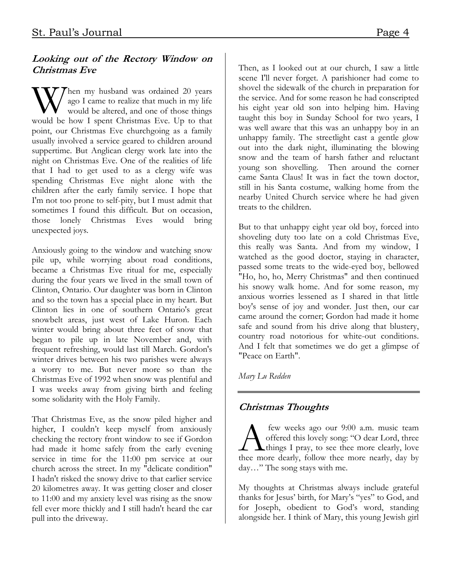#### Looking out of the Rectory Window on Christmas Eve

Then my husband was ordained 20 years ago I came to realize that much in my life would be altered, and one of those things W ago I came to realize that much in my life would be altered, and one of those things would be how I spent Christmas Eve. Up to that point, our Christmas Eve churchgoing as a family usually involved a service geared to children around suppertime. But Anglican clergy work late into the night on Christmas Eve. One of the realities of life that I had to get used to as a clergy wife was spending Christmas Eve night alone with the children after the early family service. I hope that I'm not too prone to self-pity, but I must admit that sometimes I found this difficult. But on occasion, those lonely Christmas Eves would bring unexpected joys.

Anxiously going to the window and watching snow pile up, while worrying about road conditions, became a Christmas Eve ritual for me, especially during the four years we lived in the small town of Clinton, Ontario. Our daughter was born in Clinton and so the town has a special place in my heart. But Clinton lies in one of southern Ontario's great snowbelt areas, just west of Lake Huron. Each winter would bring about three feet of snow that began to pile up in late November and, with frequent refreshing, would last till March. Gordon's winter drives between his two parishes were always a worry to me. But never more so than the Christmas Eve of 1992 when snow was plentiful and I was weeks away from giving birth and feeling some solidarity with the Holy Family.

That Christmas Eve, as the snow piled higher and higher, I couldn't keep myself from anxiously checking the rectory front window to see if Gordon had made it home safely from the early evening service in time for the 11:00 pm service at our church across the street. In my "delicate condition" I hadn't risked the snowy drive to that earlier service 20 kilometres away. It was getting closer and closer to 11:00 and my anxiety level was rising as the snow fell ever more thickly and I still hadn't heard the car pull into the driveway.

Then, as I looked out at our church, I saw a little scene I'll never forget. A parishioner had come to shovel the sidewalk of the church in preparation for the service. And for some reason he had conscripted his eight year old son into helping him. Having taught this boy in Sunday School for two years, I was well aware that this was an unhappy boy in an unhappy family. The streetlight cast a gentle glow out into the dark night, illuminating the blowing snow and the team of harsh father and reluctant young son shovelling. Then around the corner came Santa Claus! It was in fact the town doctor, still in his Santa costume, walking home from the nearby United Church service where he had given treats to the children.

But to that unhappy eight year old boy, forced into shoveling duty too late on a cold Christmas Eve, this really was Santa. And from my window, I watched as the good doctor, staying in character, passed some treats to the wide-eyed boy, bellowed "Ho, ho, ho, Merry Christmas" and then continued his snowy walk home. And for some reason, my anxious worries lessened as I shared in that little boy's sense of joy and wonder. Just then, our car came around the corner; Gordon had made it home safe and sound from his drive along that blustery, country road notorious for white-out conditions. And I felt that sometimes we do get a glimpse of "Peace on Earth".

Mary Lu Redden

#### Christmas Thoughts

 few weeks ago our 9:00 a.m. music team offered this lovely song: "O dear Lord, three **L**things I pray, to see thee more clearly, love **A** few weeks ago our 9:00 a.m. music team<br>offered this lovely song: "O dear Lord, three<br>thee more dearly, follow thee more nearly, day by day…" The song stays with me.

My thoughts at Christmas always include grateful thanks for Jesus' birth, for Mary's "yes" to God, and for Joseph, obedient to God's word, standing alongside her. I think of Mary, this young Jewish girl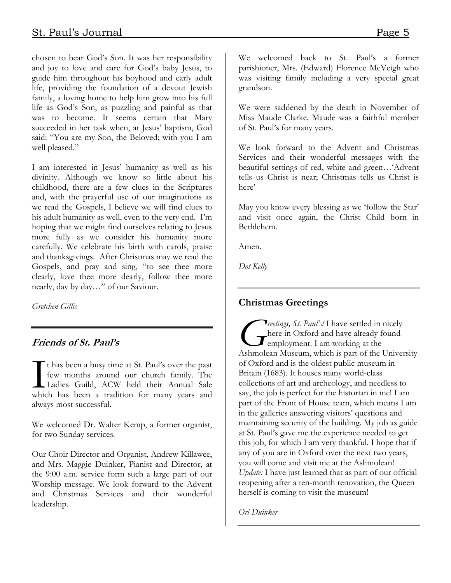chosen to bear God's Son. It was her responsibility and joy to love and care for God's baby Jesus, to guide him throughout his boyhood and early adult life, providing the foundation of a devout Jewish family, a loving home to help him grow into his full life as God's Son, as puzzling and painful as that was to become. It seems certain that Mary succeeded in her task when, at Jesus' baptism, God

I am interested in Jesus' humanity as well as his divinity. Although we know so little about his childhood, there are a few clues in the Scriptures and, with the prayerful use of our imaginations as we read the Gospels, I believe we will find clues to his adult humanity as well, even to the very end. I'm hoping that we might find ourselves relating to Jesus more fully as we consider his humanity more carefully. We celebrate his birth with carols, praise and thanksgivings. After Christmas may we read the Gospels, and pray and sing, "to see thee more clearly, love thee more dearly, follow thee more nearly, day by day…" of our Saviour.

said: "You are my Son, the Beloved; with you I am

Gretchen Gillis

well pleased."

#### Friends of St. Paul's

t has been a busy time at St. Paul's over the past few months around our church family. The Ladies Guild, ACW held their Annual Sale The has been a busy time at St. Paul's over the past<br>few months around our church family. The<br>Ladies Guild, ACW held their Annual Sale<br>which has been a tradition for many years and always most successful.

We welcomed Dr. Walter Kemp, a former organist, for two Sunday services.

Our Choir Director and Organist, Andrew Killawee, and Mrs. Maggie Duinker, Pianist and Director, at the 9:00 a.m. service form such a large part of our Worship message. We look forward to the Advent and Christmas Services and their wonderful leadership.

We welcomed back to St. Paul's a former parishioner, Mrs. (Edward) Florence McVeigh who was visiting family including a very special great grandson.

We were saddened by the death in November of Miss Maude Clarke. Maude was a faithful member of St. Paul's for many years.

We look forward to the Advent and Christmas Services and their wonderful messages with the beautiful settings of red, white and green…'Advent tells us Christ is near; Christmas tells us Christ is here'

May you know every blessing as we 'follow the Star' and visit once again, the Christ Child born in Bethlehem.

Amen.

Dot Kelly

#### Christmas Greetings

Treetings, St. Paul's! I have settled in nicely here in Oxford and have already found **Example yment.** I am working at the *St. Paul's!* I have settled in nicely<br>here in Oxford and have already found<br>employment. I am working at the<br>Ashmolean Museum, which is part of the University of Oxford and is the oldest public museum in Britain (1683). It houses many world-class collections of art and archeology, and needless to say, the job is perfect for the historian in me! I am part of the Front of House team, which means I am in the galleries answering visitors' questions and maintaining security of the building. My job as guide at St. Paul's gave me the experience needed to get this job, for which I am very thankful. I hope that if any of you are in Oxford over the next two years, you will come and visit me at the Ashmolean! Update: I have just learned that as part of our official reopening after a ten-month renovation, the Queen herself is coming to visit the museum!

Ori Duinker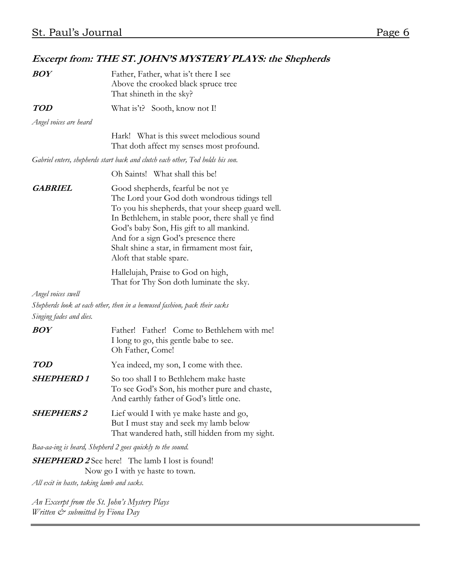### Excerpt from: THE ST. JOHN'S MYSTERY PLAYS: the Shepherds

| <b>BOY</b>              | Father, Father, what is't there I see<br>Above the crooked black spruce tree<br>That shineth in the sky?                                                                                                                                                                                                                                                  |
|-------------------------|-----------------------------------------------------------------------------------------------------------------------------------------------------------------------------------------------------------------------------------------------------------------------------------------------------------------------------------------------------------|
| <b>TOD</b>              | What is't? Sooth, know not I!                                                                                                                                                                                                                                                                                                                             |
| Angel voices are heard  |                                                                                                                                                                                                                                                                                                                                                           |
|                         | What is this sweet melodious sound<br>Hark!<br>That doth affect my senses most profound.                                                                                                                                                                                                                                                                  |
|                         | Gabriel enters, shepherds start back and clutch each other, Tod holds his son.                                                                                                                                                                                                                                                                            |
|                         | Oh Saints! What shall this be!                                                                                                                                                                                                                                                                                                                            |
| <b>GABRIEL</b>          | Good shepherds, fearful be not ye<br>The Lord your God doth wondrous tidings tell<br>To you his shepherds, that your sheep guard well.<br>In Bethlehem, in stable poor, there shall ye find<br>God's baby Son, His gift to all mankind.<br>And for a sign God's presence there<br>Shalt shine a star, in firmament most fair,<br>Aloft that stable spare. |
|                         | Hallelujah, Praise to God on high,<br>That for Thy Son doth luminate the sky.                                                                                                                                                                                                                                                                             |
| Angel voices swell      |                                                                                                                                                                                                                                                                                                                                                           |
|                         | Shepherds look at each other, then in a bemused fashion, pack their sacks                                                                                                                                                                                                                                                                                 |
| Singing fades and dies. |                                                                                                                                                                                                                                                                                                                                                           |
| <b>BOY</b>              | Father! Father! Come to Bethlehem with me!<br>I long to go, this gentle babe to see.<br>Oh Father, Come!                                                                                                                                                                                                                                                  |
| <b>TOD</b>              | Yea indeed, my son, I come with thee.                                                                                                                                                                                                                                                                                                                     |
| <b>SHEPHERD1</b>        | So too shall I to Bethlehem make haste<br>To see God's Son, his mother pure and chaste,<br>And earthly father of God's little one.                                                                                                                                                                                                                        |
| <b>SHEPHERS 2</b>       | Lief would I with ye make haste and go,<br>But I must stay and seek my lamb below<br>That wandered hath, still hidden from my sight.                                                                                                                                                                                                                      |
|                         | Baa-aa-ing is heard, Shepherd 2 goes quickly to the sound.                                                                                                                                                                                                                                                                                                |

**SHEPHERD 2** See here! The lamb I lost is found! Now go I with ye haste to town.

All exit in haste, taking lamb and sacks.

An Excerpt from the St. John's Mystery Plays Written  $\mathcal{C}^*$  submitted by Fiona Day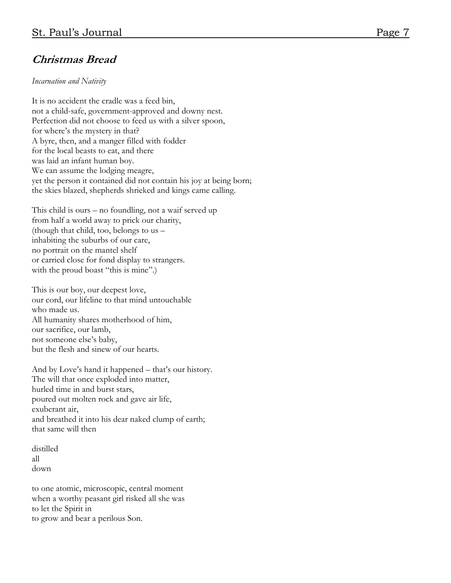### Christmas Bread

Incarnation and Nativity

It is no accident the cradle was a feed bin, not a child-safe, government-approved and downy nest. Perfection did not choose to feed us with a silver spoon, for where's the mystery in that? A byre, then, and a manger filled with fodder for the local beasts to eat, and there was laid an infant human boy. We can assume the lodging meagre, yet the person it contained did not contain his joy at being born; the skies blazed, shepherds shrieked and kings came calling.

This child is ours – no foundling, not a waif served up from half a world away to prick our charity, (though that child, too, belongs to us – inhabiting the suburbs of our care, no portrait on the mantel shelf or carried close for fond display to strangers. with the proud boast "this is mine".)

This is our boy, our deepest love, our cord, our lifeline to that mind untouchable who made us. All humanity shares motherhood of him, our sacrifice, our lamb, not someone else's baby, but the flesh and sinew of our hearts.

And by Love's hand it happened – that's our history. The will that once exploded into matter, hurled time in and burst stars, poured out molten rock and gave air life, exuberant air, and breathed it into his dear naked clump of earth; that same will then

distilled all down

to one atomic, microscopic, central moment when a worthy peasant girl risked all she was to let the Spirit in to grow and bear a perilous Son.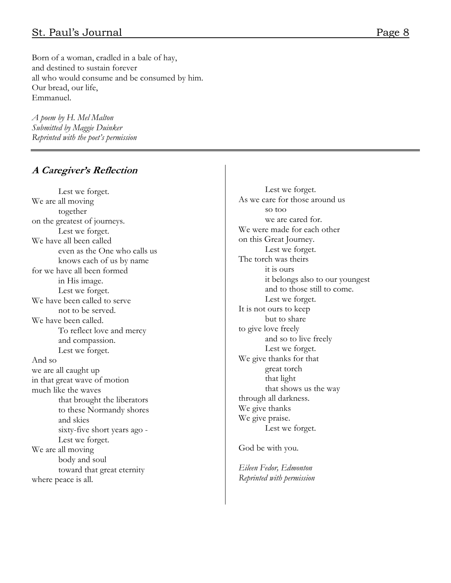#### St. Paul's Journal Page 8

Born of a woman, cradled in a bale of hay, and destined to sustain forever all who would consume and be consumed by him. Our bread, our life, Emmanuel.

A poem by H. Mel Malton Submitted by Maggie Duinker Reprinted with the poet's permission

#### A Caregiver's Reflection

 Lest we forget. We are all moving together on the greatest of journeys. Lest we forget. We have all been called even as the One who calls us knows each of us by name for we have all been formed in His image. Lest we forget. We have been called to serve not to be served. We have been called. To reflect love and mercy and compassion. Lest we forget. And so we are all caught up in that great wave of motion much like the waves that brought the liberators to these Normandy shores and skies sixty-five short years ago - Lest we forget. We are all moving body and soul toward that great eternity where peace is all.

Lest we forget. As we care for those around us so too we are cared for. We were made for each other on this Great Journey. Lest we forget. The torch was theirs it is ours it belongs also to our youngest and to those still to come. Lest we forget. It is not ours to keep but to share to give love freely and so to live freely Lest we forget. We give thanks for that great torch that light that shows us the way through all darkness. We give thanks We give praise. Lest we forget.

God be with you.

Eileen Fedor, Edmonton Reprinted with permission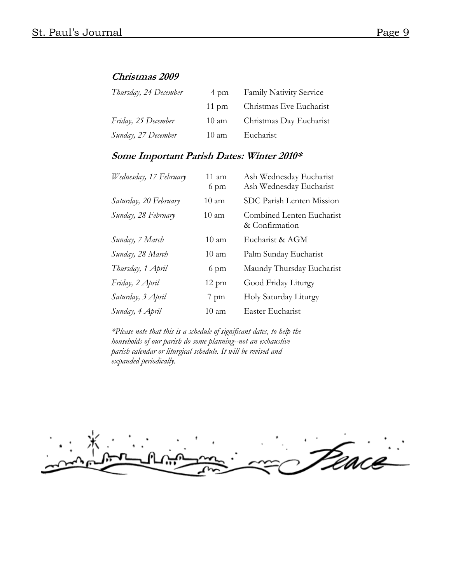#### Christmas 2009

| Thursday, 24 December | 4 pm            | <b>Family Nativity Service</b> |
|-----------------------|-----------------|--------------------------------|
|                       | $11 \text{ pm}$ | Christmas Eve Eucharist        |
| Friday, 25 December   | 10 am           | Christmas Day Eucharist        |
| Sunday, 27 December   | $10 \text{ am}$ | Eucharist                      |

#### Some Important Parish Dates: Winter 2010\*

| Wednesday, 17 February | $11 \text{ am}$<br>6 pm | Ash Wednesday Eucharist<br>Ash Wednesday Eucharist |
|------------------------|-------------------------|----------------------------------------------------|
| Saturday, 20 February  | $10 \text{ am}$         | SDC Parish Lenten Mission                          |
| Sunday, 28 February    | $10 \text{ am}$         | Combined Lenten Eucharist<br>& Confirmation        |
| Sunday, 7 March        | $10 \text{ am}$         | Eucharist & AGM                                    |
| Sunday, 28 March       | $10 \text{ am}$         | Palm Sunday Eucharist                              |
| Thursday, 1 April      | 6 pm                    | Maundy Thursday Eucharist                          |
| Friday, 2 April        | $12 \text{ pm}$         | Good Friday Liturgy                                |
| Saturday, 3 April      | $7$ pm                  | Holy Saturday Liturgy                              |
| Sunday, 4 April        | 10 am                   | Easter Eucharist                                   |

\*Please note that this is a schedule of significant dates, to help the households of our parish do some planning--not an exhaustive parish calendar or liturgical schedule. It will be revised and expanded periodically.

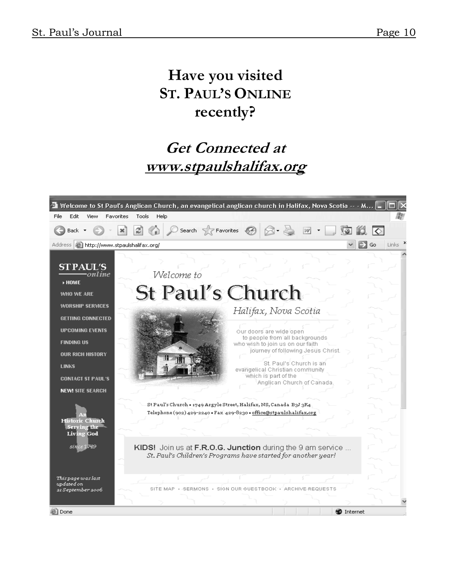## Have you visited ST. PAUL'S ONLINE recently?

# Get Connected at www.stpaulshalifax.org